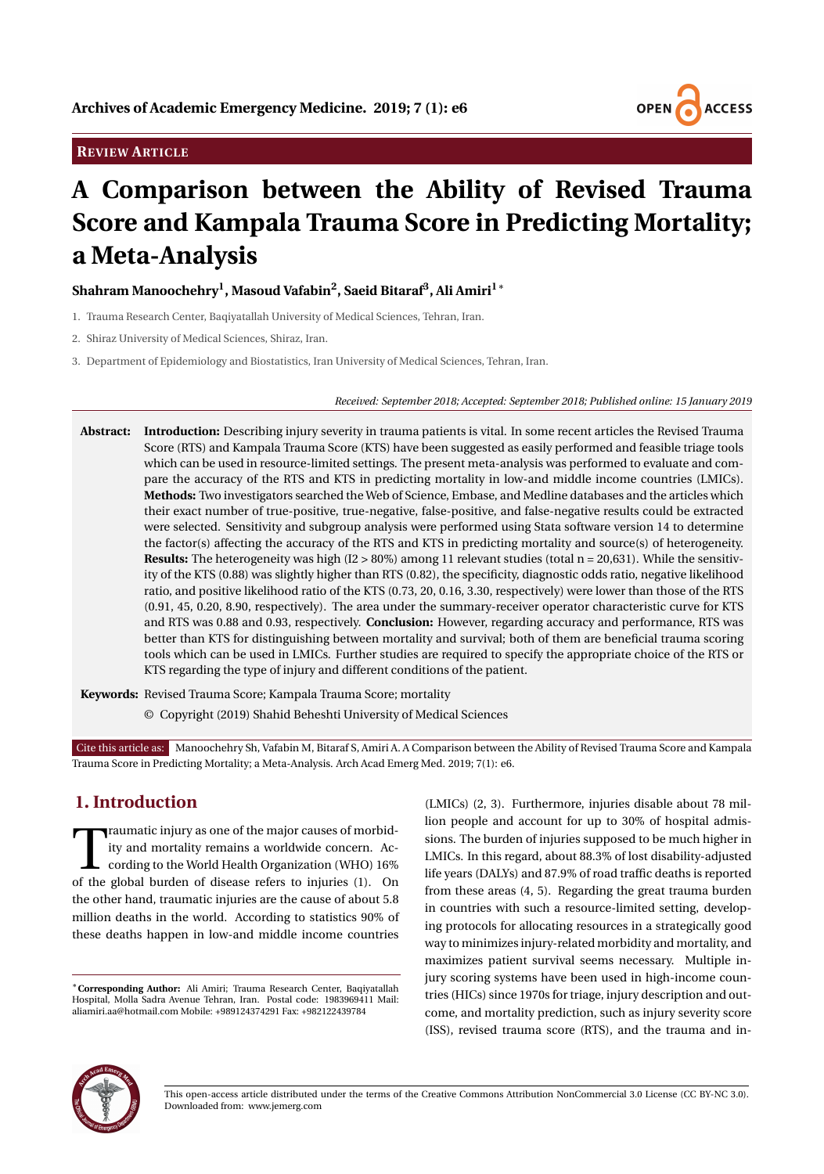

## **REVIEW ARTICLE**

# **A Comparison between the Ability of Revised Trauma Score and Kampala Trauma Score in Predicting Mortality; a Meta-Analysis**

## **Shahram Manoochehry<sup>1</sup> , Masoud Vafabin<sup>2</sup> , Saeid Bitaraf<sup>3</sup> , Ali Amiri1**<sup>∗</sup>

- 1. Trauma Research Center, Baqiyatallah University of Medical Sciences, Tehran, Iran.
- 2. Shiraz University of Medical Sciences, Shiraz, Iran.
- 3. Department of Epidemiology and Biostatistics, Iran University of Medical Sciences, Tehran, Iran.

*Received: September 2018; Accepted: September 2018; Published online: 15 January 2019*

**Abstract: Introduction:** Describing injury severity in trauma patients is vital. In some recent articles the Revised Trauma Score (RTS) and Kampala Trauma Score (KTS) have been suggested as easily performed and feasible triage tools which can be used in resource-limited settings. The present meta-analysis was performed to evaluate and compare the accuracy of the RTS and KTS in predicting mortality in low-and middle income countries (LMICs). **Methods:** Two investigators searched the Web of Science, Embase, and Medline databases and the articles which their exact number of true-positive, true-negative, false-positive, and false-negative results could be extracted were selected. Sensitivity and subgroup analysis were performed using Stata software version 14 to determine the factor(s) affecting the accuracy of the RTS and KTS in predicting mortality and source(s) of heterogeneity. **Results:** The heterogeneity was high  $(I2 > 80\%)$  among 11 relevant studies (total  $n = 20,631$ ). While the sensitivity of the KTS (0.88) was slightly higher than RTS (0.82), the specificity, diagnostic odds ratio, negative likelihood ratio, and positive likelihood ratio of the KTS (0.73, 20, 0.16, 3.30, respectively) were lower than those of the RTS (0.91, 45, 0.20, 8.90, respectively). The area under the summary-receiver operator characteristic curve for KTS and RTS was 0.88 and 0.93, respectively. **Conclusion:** However, regarding accuracy and performance, RTS was better than KTS for distinguishing between mortality and survival; both of them are beneficial trauma scoring tools which can be used in LMICs. Further studies are required to specify the appropriate choice of the RTS or KTS regarding the type of injury and different conditions of the patient.

**Keywords:** Revised Trauma Score; Kampala Trauma Score; mortality

© Copyright (2019) Shahid Beheshti University of Medical Sciences

Cite this article as: Manoochehry Sh, Vafabin M, Bitaraf S, Amiri A. A Comparison between the Ability of Revised Trauma Score and Kampala Trauma Score in Predicting Mortality; a Meta-Analysis. Arch Acad Emerg Med. 2019; 7(1): e6.

# **1. Introduction**

Traumatic injury as one of the major causes of morbid-<br>ity and mortality remains a worldwide concern. Ac-<br>cording to the World Health Organization (WHO) 16%<br>of the global burden of disease refers to injuries (1). On raumatic injury as one of the major causes of morbidity and mortality remains a worldwide concern. According to the World Health Organization (WHO) 16% the other hand, traumatic injuries are the cause of about 5.8 million deaths in the world. According to statistics 90% of these deaths happen in low-and middle income countries

<sup>∗</sup>**Corresponding Author:** Ali Amiri; Trauma Research Center, Baqiyatallah Hospital, Molla Sadra Avenue Tehran, Iran. Postal code: 1983969411 Mail: aliamiri.aa@hotmail.com Mobile: +989124374291 Fax: +982122439784

(LMICs) (2, 3). Furthermore, injuries disable about 78 million people and account for up to 30% of hospital admissions. The burden of injuries supposed to be much higher in LMICs. In this regard, about 88.3% of lost disability-adjusted life years (DALYs) and 87.9% of road traffic deaths is reported from these areas (4, 5). Regarding the great trauma burden in countries with such a resource-limited setting, developing protocols for allocating resources in a strategically good way to minimizes injury-related morbidity and mortality, and maximizes patient survival seems necessary. Multiple injury scoring systems have been used in high-income countries (HICs) since 1970s for triage, injury description and outcome, and mortality prediction, such as injury severity score (ISS), revised trauma score (RTS), and the trauma and in-



This open-access article distributed under the terms of the Creative Commons Attribution NonCommercial 3.0 License (CC BY-NC 3.0). Downloaded from: www.jemerg.com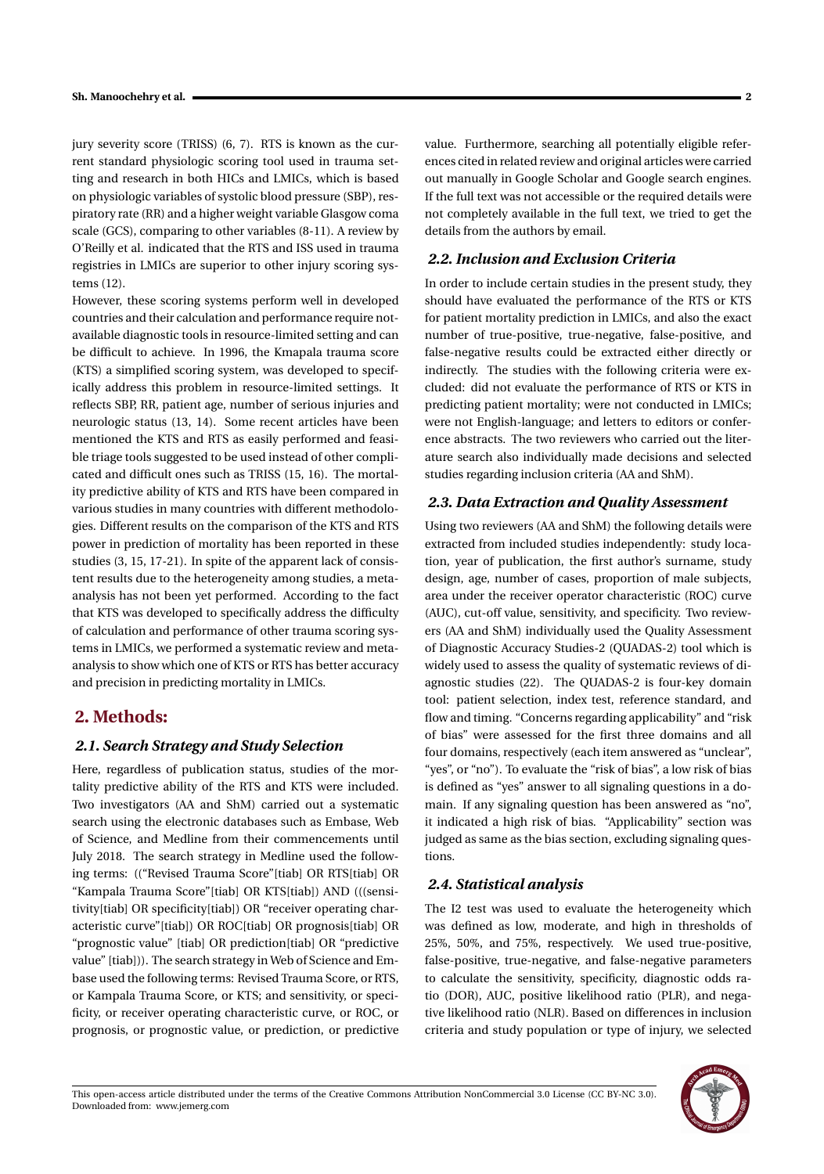jury severity score (TRISS) (6, 7). RTS is known as the current standard physiologic scoring tool used in trauma setting and research in both HICs and LMICs, which is based on physiologic variables of systolic blood pressure (SBP), respiratory rate (RR) and a higher weight variable Glasgow coma scale (GCS), comparing to other variables (8-11). A review by O'Reilly et al. indicated that the RTS and ISS used in trauma registries in LMICs are superior to other injury scoring systems (12).

However, these scoring systems perform well in developed countries and their calculation and performance require notavailable diagnostic tools in resource-limited setting and can be difficult to achieve. In 1996, the Kmapala trauma score (KTS) a simplified scoring system, was developed to specifically address this problem in resource-limited settings. It reflects SBP, RR, patient age, number of serious injuries and neurologic status (13, 14). Some recent articles have been mentioned the KTS and RTS as easily performed and feasible triage tools suggested to be used instead of other complicated and difficult ones such as TRISS (15, 16). The mortality predictive ability of KTS and RTS have been compared in various studies in many countries with different methodologies. Different results on the comparison of the KTS and RTS power in prediction of mortality has been reported in these studies (3, 15, 17-21). In spite of the apparent lack of consistent results due to the heterogeneity among studies, a metaanalysis has not been yet performed. According to the fact that KTS was developed to specifically address the difficulty of calculation and performance of other trauma scoring systems in LMICs, we performed a systematic review and metaanalysis to show which one of KTS or RTS has better accuracy and precision in predicting mortality in LMICs.

## **2. Methods:**

## *2.1. Search Strategy and Study Selection*

Here, regardless of publication status, studies of the mortality predictive ability of the RTS and KTS were included. Two investigators (AA and ShM) carried out a systematic search using the electronic databases such as Embase, Web of Science, and Medline from their commencements until July 2018. The search strategy in Medline used the following terms: (("Revised Trauma Score"[tiab] OR RTS[tiab] OR "Kampala Trauma Score"[tiab] OR KTS[tiab]) AND (((sensitivity[tiab] OR specificity[tiab]) OR "receiver operating characteristic curve"[tiab]) OR ROC[tiab] OR prognosis[tiab] OR "prognostic value" [tiab] OR prediction[tiab] OR "predictive value" [tiab])). The search strategy in Web of Science and Embase used the following terms: Revised Trauma Score, or RTS, or Kampala Trauma Score, or KTS; and sensitivity, or specificity, or receiver operating characteristic curve, or ROC, or prognosis, or prognostic value, or prediction, or predictive value. Furthermore, searching all potentially eligible references cited in related review and original articles were carried out manually in Google Scholar and Google search engines. If the full text was not accessible or the required details were not completely available in the full text, we tried to get the details from the authors by email.

### *2.2. Inclusion and Exclusion Criteria*

In order to include certain studies in the present study, they should have evaluated the performance of the RTS or KTS for patient mortality prediction in LMICs, and also the exact number of true-positive, true-negative, false-positive, and false-negative results could be extracted either directly or indirectly. The studies with the following criteria were excluded: did not evaluate the performance of RTS or KTS in predicting patient mortality; were not conducted in LMICs; were not English-language; and letters to editors or conference abstracts. The two reviewers who carried out the literature search also individually made decisions and selected studies regarding inclusion criteria (AA and ShM).

#### *2.3. Data Extraction and Quality Assessment*

Using two reviewers (AA and ShM) the following details were extracted from included studies independently: study location, year of publication, the first author's surname, study design, age, number of cases, proportion of male subjects, area under the receiver operator characteristic (ROC) curve (AUC), cut-off value, sensitivity, and specificity. Two reviewers (AA and ShM) individually used the Quality Assessment of Diagnostic Accuracy Studies-2 (QUADAS-2) tool which is widely used to assess the quality of systematic reviews of diagnostic studies (22). The QUADAS-2 is four-key domain tool: patient selection, index test, reference standard, and flow and timing. "Concerns regarding applicability" and "risk of bias" were assessed for the first three domains and all four domains, respectively (each item answered as "unclear", "yes", or "no"). To evaluate the "risk of bias", a low risk of bias is defined as "yes" answer to all signaling questions in a domain. If any signaling question has been answered as "no", it indicated a high risk of bias. "Applicability" section was judged as same as the bias section, excluding signaling questions.

#### *2.4. Statistical analysis*

The I2 test was used to evaluate the heterogeneity which was defined as low, moderate, and high in thresholds of 25%, 50%, and 75%, respectively. We used true-positive, false-positive, true-negative, and false-negative parameters to calculate the sensitivity, specificity, diagnostic odds ratio (DOR), AUC, positive likelihood ratio (PLR), and negative likelihood ratio (NLR). Based on differences in inclusion criteria and study population or type of injury, we selected

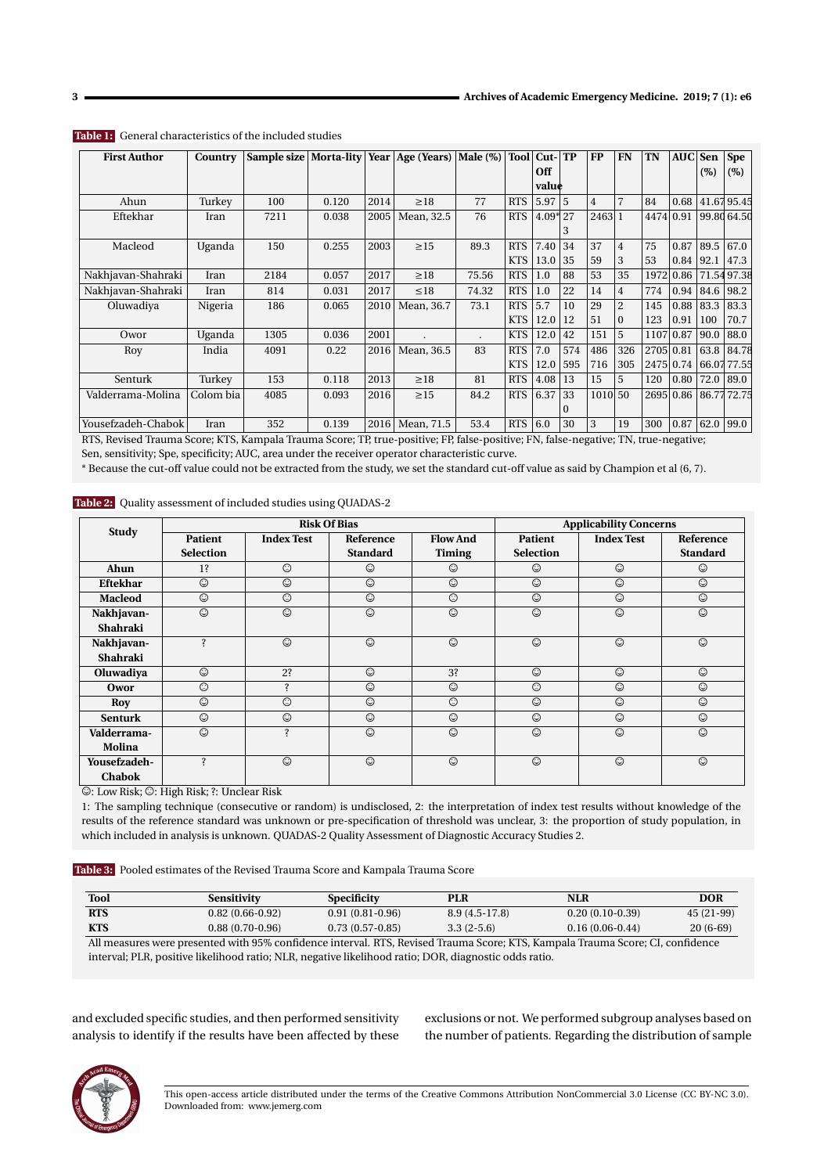| <b>First Author</b> | Country   | Sample size |       |      | Morta-lity Year   Age (Years) | Male $(\%)$ | <b>Tool</b> | $Cut-TP$ |          | <b>FP</b> | <b>FN</b>      | TN        | <b>AUC</b> | Sen  | <b>Spe</b> |
|---------------------|-----------|-------------|-------|------|-------------------------------|-------------|-------------|----------|----------|-----------|----------------|-----------|------------|------|------------|
|                     |           |             |       |      |                               |             |             | Off      |          |           |                |           |            | (%)  | (%)        |
|                     |           |             |       |      |                               |             |             | value    |          |           |                |           |            |      |            |
| Ahun                | Turkey    | 100         | 0.120 | 2014 | $\geq$ 18                     | 77          | <b>RTS</b>  | 5.97     | 5        | 4         | $\overline{7}$ | 84        | 0.68       |      | 41.6795.45 |
| Eftekhar            | Iran      | 7211        | 0.038 | 2005 | Mean, 32.5                    | 76          | <b>RTS</b>  | $4.09*$  | 27       | 2463 1    |                | 4474      | 0.91       |      | 99.8064.50 |
|                     |           |             |       |      |                               |             |             |          | 3        |           |                |           |            |      |            |
| Macleod             | Uganda    | 150         | 0.255 | 2003 | $\geq$ 15                     | 89.3        | <b>RTS</b>  | 7.40     | 34       | 37        | $\overline{4}$ | 75        | 0.87       | 89.5 | 67.0       |
|                     |           |             |       |      |                               |             | <b>KTS</b>  | 13.0     | 35       | 59        | 3              | 53        | 0.84       | 92.1 | 47.3       |
| Nakhjavan-Shahraki  | Iran      | 2184        | 0.057 | 2017 | $\geq$ 18                     | 75.56       | <b>RTS</b>  | 1.0      | 88       | 53        | 35             | 1972      | 0.86       |      | 71.5497.38 |
| Nakhjavan-Shahraki  | Iran      | 814         | 0.031 | 2017 | $\leq 18$                     | 74.32       | <b>RTS</b>  | 1.0      | 22       | 14        | $\overline{4}$ | 774       | 0.94       | 84.6 | 98.2       |
| Oluwadiya           | Nigeria   | 186         | 0.065 | 2010 | Mean, 36.7                    | 73.1        | <b>RTS</b>  | 5.7      | 10       | 29        | $\overline{c}$ | 145       | 0.88       | 83.3 | 83.3       |
|                     |           |             |       |      |                               |             | <b>KTS</b>  | 12.0     | 12       | 51        | $\mathbf{0}$   | 123       | 0.91       | 100  | 70.7       |
| Owor                | Uganda    | 1305        | 0.036 | 2001 |                               |             | <b>KTS</b>  | 12.0     | 42       | 151       | 5              | 1107      | 0.87       | 90.0 | 88.0       |
| Roy                 | India     | 4091        | 0.22  | 2016 | Mean, 36.5                    | 83          | <b>RTS</b>  | 7.0      | 574      | 486       | 326            | 2705 0.81 |            | 63.8 | 84.78      |
|                     |           |             |       |      |                               |             | <b>KTS</b>  | 12.0     | 595      | 716       | 305            | 2475 0.74 |            |      | 66.0777.55 |
| Senturk             | Turkey    | 153         | 0.118 | 2013 | $\geq$ 18                     | 81          | <b>RTS</b>  | 4.08     | 13       | 15        | 5              | 120       | 0.80       | 72.0 | 89.0       |
| Valderrama-Molina   | Colom bia | 4085        | 0.093 | 2016 | $\geq$ 15                     | 84.2        | <b>RTS</b>  | 6.37     | 33       | 1010 50   |                |           | 2695 0.86  |      | 86.7772.75 |
|                     |           |             |       |      |                               |             |             |          | $\Omega$ |           |                |           |            |      |            |
| Yousefzadeh-Chabok  | Iran      | 352         | 0.139 | 2016 | Mean, 71.5                    | 53.4        | <b>RTS</b>  | 6.0      | 30       | 3         | 19             | 300       | 0.87       | 62.0 | 99.0       |

#### **Table 1:** General characteristics of the included studies

RTS, Revised Trauma Score; KTS, Kampala Trauma Score; TP, true-positive; FP, false-positive; FN, false-negative; TN, true-negative; Sen, sensitivity; Spe, specificity; AUC, area under the receiver operator characteristic curve.

\* Because the cut-off value could not be extracted from the study, we set the standard cut-off value as said by Champion et al (6, 7).

#### **Table 2:** Quality assessment of included studies using QUADAS-2

| <b>Study</b>       |                   | <b>Risk Of Bias</b> |                 | <b>Applicability Concerns</b> |                  |                   |                 |
|--------------------|-------------------|---------------------|-----------------|-------------------------------|------------------|-------------------|-----------------|
|                    | <b>Patient</b>    | <b>Index Test</b>   | Reference       | <b>Flow And</b>               | <b>Patient</b>   | <b>Index Test</b> | Reference       |
|                    | <b>Selection</b>  |                     | <b>Standard</b> | <b>Timing</b>                 | <b>Selection</b> |                   | <b>Standard</b> |
| Ahun               | 1?                | $\odot$             | ☺               | ☺                             | ☺                | $\odot$           | $\odot$         |
| Eftekhar           | $\odot$           | $\odot$             | $\odot$         | $\odot$                       | $\odot$          | $\odot$           | $\odot$         |
| <b>Macleod</b>     | $\odot$           | $\odot$             | $\odot$         | ☺                             | $\odot$          | $\odot$           | $\odot$         |
| Nakhjavan-         | $\odot$           | $\odot$             | $\odot$         | $\odot$                       | $\odot$          | $\odot$           | $\odot$         |
| Shahraki           |                   |                     |                 |                               |                  |                   |                 |
| Nakhjavan-         | $\ddot{\text{?}}$ | $\odot$             | $\odot$         | $\odot$                       | $\odot$          | $\odot$           | $\odot$         |
| Shahraki           |                   |                     |                 |                               |                  |                   |                 |
| Oluwadiya          | $\odot$           | 2?                  | $\odot$         | 3?                            | $\odot$          | $\odot$           | $\odot$         |
| Owor               | ☺                 | <sup>2</sup>        | $\odot$         | $\odot$                       | ☺                | $\odot$           | $\odot$         |
| Roy                | $\odot$           | ☺                   | $\odot$         | ☺                             | $\odot$          | $\odot$           | $\odot$         |
| <b>Senturk</b>     | $\odot$           | $\odot$             | $\odot$         | $\odot$                       | $\odot$          | $\odot$           | $\odot$         |
| <b>Valderrama-</b> | $\odot$           | $\ddot{\text{}}$    | $\odot$         | $\odot$                       | $\odot$          | $\odot$           | $\odot$         |
| Molina             |                   |                     |                 |                               |                  |                   |                 |
| Yousefzadeh-       | <sup>2</sup>      | $\odot$             | $\odot$         | $\odot$                       | $\odot$          | $\odot$           | $\odot$         |
| <b>Chabok</b>      |                   |                     |                 |                               |                  |                   |                 |

©: Low Risk; §: High Risk; ?: Unclear Risk

1: The sampling technique (consecutive or random) is undisclosed, 2: the interpretation of index test results without knowledge of the results of the reference standard was unknown or pre-specification of threshold was unclear, 3: the proportion of study population, in which included in analysis is unknown. QUADAS-2 Quality Assessment of Diagnostic Accuracy Studies 2.

**Table 3:** Pooled estimates of the Revised Trauma Score and Kampala Trauma Score

| <b>Tool</b> | Sensitivity       | Specificity       | PLR                      | <b>NLR</b>        | <b>DOR</b>  |
|-------------|-------------------|-------------------|--------------------------|-------------------|-------------|
| <b>RTS</b>  | $0.82(0.66-0.92)$ | $0.91(0.81-0.96)$ | $8.9(4.5-17.8)$          | $0.20(0.10-0.39)$ | $45(21-99)$ |
| KTS         | $0.88(0.70-0.96)$ | $0.73(0.57-0.85)$ | $3.3(2-5.6)$             | $0.16(0.06-0.44)$ | $20(6-69)$  |
| $\cdots$    |                   |                   | 1.001<br><b>FRIDA FR</b> | $-$               |             |

All measures were presented with 95% confidence interval. RTS, Revised Trauma Score; KTS, Kampala Trauma Score; CI, confidence interval; PLR, positive likelihood ratio; NLR, negative likelihood ratio; DOR, diagnostic odds ratio.

and excluded specific studies, and then performed sensitivity analysis to identify if the results have been affected by these exclusions or not. We performed subgroup analyses based on the number of patients. Regarding the distribution of sample

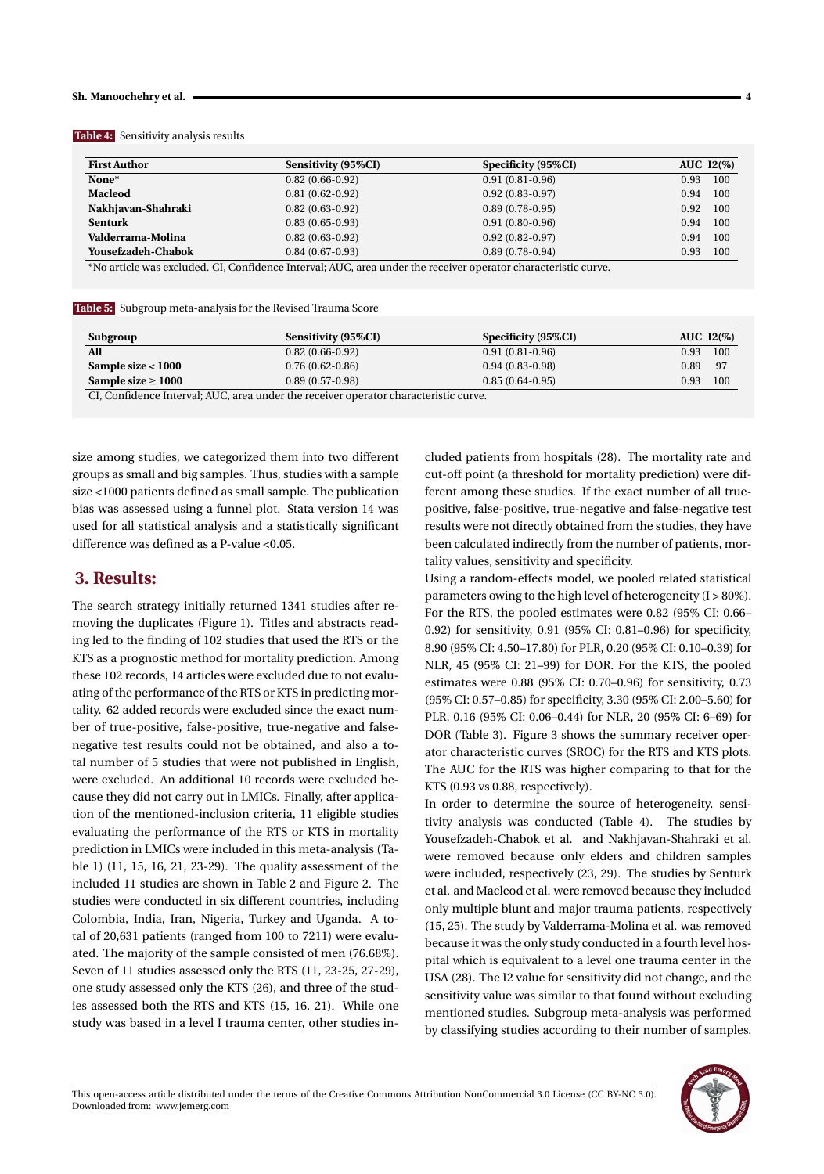#### **Sh. Manoochehry et al. 4**

|  | <b>Table 4:</b> Sensitivity analysis results |  |
|--|----------------------------------------------|--|
|--|----------------------------------------------|--|

| <b>First Author</b>                                                                                            | Sensitivity (95%CI) | Specificity (95%CI) | AUC $I2(\%)$ |  |  |  |  |
|----------------------------------------------------------------------------------------------------------------|---------------------|---------------------|--------------|--|--|--|--|
| None*                                                                                                          | $0.82(0.66-0.92)$   | $0.91(0.81-0.96)$   | 100<br>0.93  |  |  |  |  |
| <b>Macleod</b>                                                                                                 | $0.81(0.62-0.92)$   | $0.92(0.83 - 0.97)$ | 100<br>0.94  |  |  |  |  |
| Nakhjavan-Shahraki                                                                                             | $0.82(0.63-0.92)$   | $0.89(0.78-0.95)$   | 100<br>0.92  |  |  |  |  |
| <b>Senturk</b>                                                                                                 | $0.83(0.65-0.93)$   | $0.91(0.80-0.96)$   | 100<br>0.94  |  |  |  |  |
| Valderrama-Molina                                                                                              | $0.82(0.63-0.92)$   | $0.92(0.82 - 0.97)$ | 100<br>0.94  |  |  |  |  |
| <b>Yousefzadeh-Chabok</b>                                                                                      | $0.84(0.67-0.93)$   | $0.89(0.78-0.94)$   | 100<br>0.93  |  |  |  |  |
| *No article was excluded. CI, Confidence Interval; AUC, area under the receiver operator characteristic curve. |                     |                     |              |  |  |  |  |

**Table 5:** Subgroup meta-analysis for the Revised Trauma Score

| Subgroup                                                                             | <b>Sensitivity (95%CI)</b> | Specificity (95%CI) | AUC $I2(\%)$  |  |  |  |
|--------------------------------------------------------------------------------------|----------------------------|---------------------|---------------|--|--|--|
| All                                                                                  | $0.82(0.66-0.92)$          | $0.91(0.81-0.96)$   | - 100<br>0.93 |  |  |  |
| Sample size < 1000                                                                   | $0.76(0.62-0.86)$          | $0.94(0.83-0.98)$   | -97<br>0.89   |  |  |  |
| Sample size $\geq 1000$                                                              | $0.89(0.57-0.98)$          | $0.85(0.64-0.95)$   | 100<br>0.93   |  |  |  |
| CI, Confidence Interval; AUC, area under the receiver operator characteristic curve. |                            |                     |               |  |  |  |

size among studies, we categorized them into two different groups as small and big samples. Thus, studies with a sample size <1000 patients defined as small sample. The publication bias was assessed using a funnel plot. Stata version 14 was used for all statistical analysis and a statistically significant difference was defined as a P-value <0.05.

## **3. Results:**

The search strategy initially returned 1341 studies after removing the duplicates (Figure 1). Titles and abstracts reading led to the finding of 102 studies that used the RTS or the KTS as a prognostic method for mortality prediction. Among these 102 records, 14 articles were excluded due to not evaluating of the performance of the RTS or KTS in predicting mortality. 62 added records were excluded since the exact number of true-positive, false-positive, true-negative and falsenegative test results could not be obtained, and also a total number of 5 studies that were not published in English, were excluded. An additional 10 records were excluded because they did not carry out in LMICs. Finally, after application of the mentioned-inclusion criteria, 11 eligible studies evaluating the performance of the RTS or KTS in mortality prediction in LMICs were included in this meta-analysis (Table 1) (11, 15, 16, 21, 23-29). The quality assessment of the included 11 studies are shown in Table 2 and Figure 2. The studies were conducted in six different countries, including Colombia, India, Iran, Nigeria, Turkey and Uganda. A total of 20,631 patients (ranged from 100 to 7211) were evaluated. The majority of the sample consisted of men (76.68%). Seven of 11 studies assessed only the RTS (11, 23-25, 27-29), one study assessed only the KTS (26), and three of the studies assessed both the RTS and KTS (15, 16, 21). While one study was based in a level I trauma center, other studies included patients from hospitals (28). The mortality rate and cut-off point (a threshold for mortality prediction) were different among these studies. If the exact number of all truepositive, false-positive, true-negative and false-negative test results were not directly obtained from the studies, they have been calculated indirectly from the number of patients, mortality values, sensitivity and specificity.

Using a random-effects model, we pooled related statistical parameters owing to the high level of heterogeneity (I > 80%). For the RTS, the pooled estimates were 0.82 (95% CI: 0.66– 0.92) for sensitivity, 0.91 (95% CI: 0.81–0.96) for specificity, 8.90 (95% CI: 4.50–17.80) for PLR, 0.20 (95% CI: 0.10–0.39) for NLR, 45 (95% CI: 21–99) for DOR. For the KTS, the pooled estimates were 0.88 (95% CI: 0.70–0.96) for sensitivity, 0.73 (95% CI: 0.57–0.85) for specificity, 3.30 (95% CI: 2.00–5.60) for PLR, 0.16 (95% CI: 0.06–0.44) for NLR, 20 (95% CI: 6–69) for DOR (Table 3). Figure 3 shows the summary receiver operator characteristic curves (SROC) for the RTS and KTS plots. The AUC for the RTS was higher comparing to that for the KTS (0.93 vs 0.88, respectively).

In order to determine the source of heterogeneity, sensitivity analysis was conducted (Table 4). The studies by Yousefzadeh-Chabok et al. and Nakhjavan-Shahraki et al. were removed because only elders and children samples were included, respectively (23, 29). The studies by Senturk et al. and Macleod et al. were removed because they included only multiple blunt and major trauma patients, respectively (15, 25). The study by Valderrama-Molina et al. was removed because it was the only study conducted in a fourth level hospital which is equivalent to a level one trauma center in the USA (28). The I2 value for sensitivity did not change, and the sensitivity value was similar to that found without excluding mentioned studies. Subgroup meta-analysis was performed by classifying studies according to their number of samples.

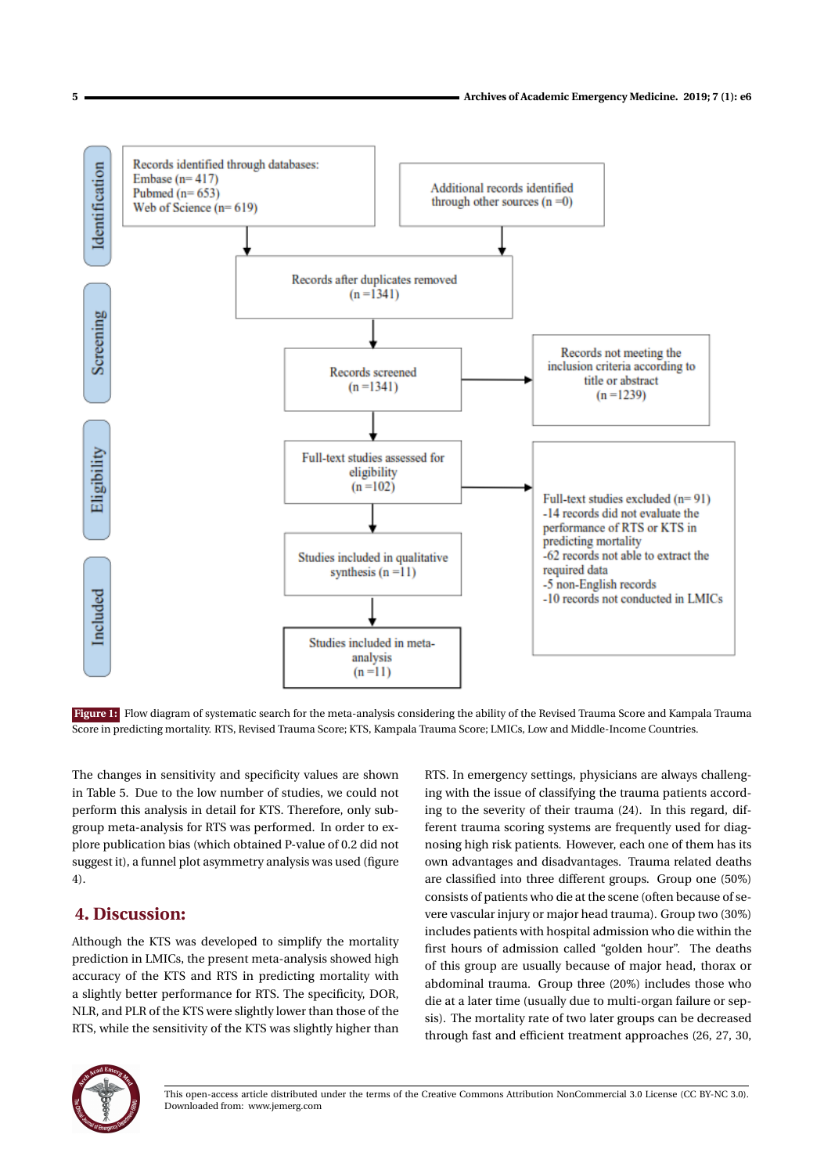

Figure 1: Flow diagram of systematic search for the meta-analysis considering the ability of the Revised Trauma Score and Kampala Trauma Score in predicting mortality. RTS, Revised Trauma Score; KTS, Kampala Trauma Score; LMICs, Low and Middle-Income Countries.

The changes in sensitivity and specificity values are shown in Table 5. Due to the low number of studies, we could not perform this analysis in detail for KTS. Therefore, only subgroup meta-analysis for RTS was performed. In order to explore publication bias (which obtained P-value of 0.2 did not suggest it), a funnel plot asymmetry analysis was used (figure 4).

# **4. Discussion:**

Although the KTS was developed to simplify the mortality prediction in LMICs, the present meta-analysis showed high accuracy of the KTS and RTS in predicting mortality with a slightly better performance for RTS. The specificity, DOR, NLR, and PLR of the KTS were slightly lower than those of the RTS, while the sensitivity of the KTS was slightly higher than

RTS. In emergency settings, physicians are always challenging with the issue of classifying the trauma patients according to the severity of their trauma (24). In this regard, different trauma scoring systems are frequently used for diagnosing high risk patients. However, each one of them has its own advantages and disadvantages. Trauma related deaths are classified into three different groups. Group one (50%) consists of patients who die at the scene (often because of severe vascular injury or major head trauma). Group two (30%) includes patients with hospital admission who die within the first hours of admission called "golden hour". The deaths of this group are usually because of major head, thorax or abdominal trauma. Group three (20%) includes those who die at a later time (usually due to multi-organ failure or sepsis). The mortality rate of two later groups can be decreased through fast and efficient treatment approaches (26, 27, 30,



This open-access article distributed under the terms of the Creative Commons Attribution NonCommercial 3.0 License (CC BY-NC 3.0). Downloaded from: www.jemerg.com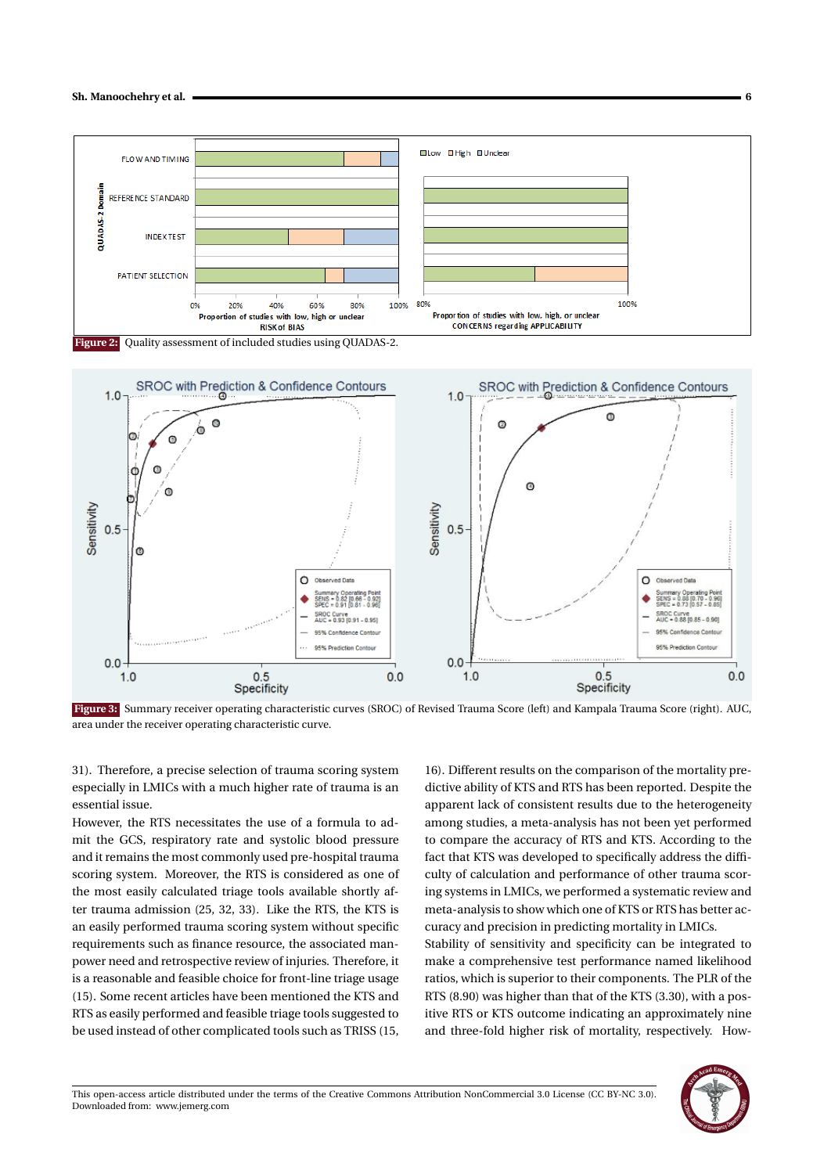







**Figure 3:** Summary receiver operating characteristic curves (SROC) of Revised Trauma Score (left) and Kampala Trauma Score (right). AUC, area under the receiver operating characteristic curve.

31). Therefore, a precise selection of trauma scoring system especially in LMICs with a much higher rate of trauma is an essential issue.

However, the RTS necessitates the use of a formula to admit the GCS, respiratory rate and systolic blood pressure and it remains the most commonly used pre-hospital trauma scoring system. Moreover, the RTS is considered as one of the most easily calculated triage tools available shortly after trauma admission (25, 32, 33). Like the RTS, the KTS is an easily performed trauma scoring system without specific requirements such as finance resource, the associated manpower need and retrospective review of injuries. Therefore, it is a reasonable and feasible choice for front-line triage usage (15). Some recent articles have been mentioned the KTS and RTS as easily performed and feasible triage tools suggested to be used instead of other complicated tools such as TRISS (15,

16). Different results on the comparison of the mortality predictive ability of KTS and RTS has been reported. Despite the apparent lack of consistent results due to the heterogeneity among studies, a meta-analysis has not been yet performed to compare the accuracy of RTS and KTS. According to the fact that KTS was developed to specifically address the difficulty of calculation and performance of other trauma scoring systems in LMICs, we performed a systematic review and meta-analysis to show which one of KTS or RTS has better accuracy and precision in predicting mortality in LMICs.

Stability of sensitivity and specificity can be integrated to make a comprehensive test performance named likelihood ratios, which is superior to their components. The PLR of the RTS (8.90) was higher than that of the KTS (3.30), with a positive RTS or KTS outcome indicating an approximately nine and three-fold higher risk of mortality, respectively. How-

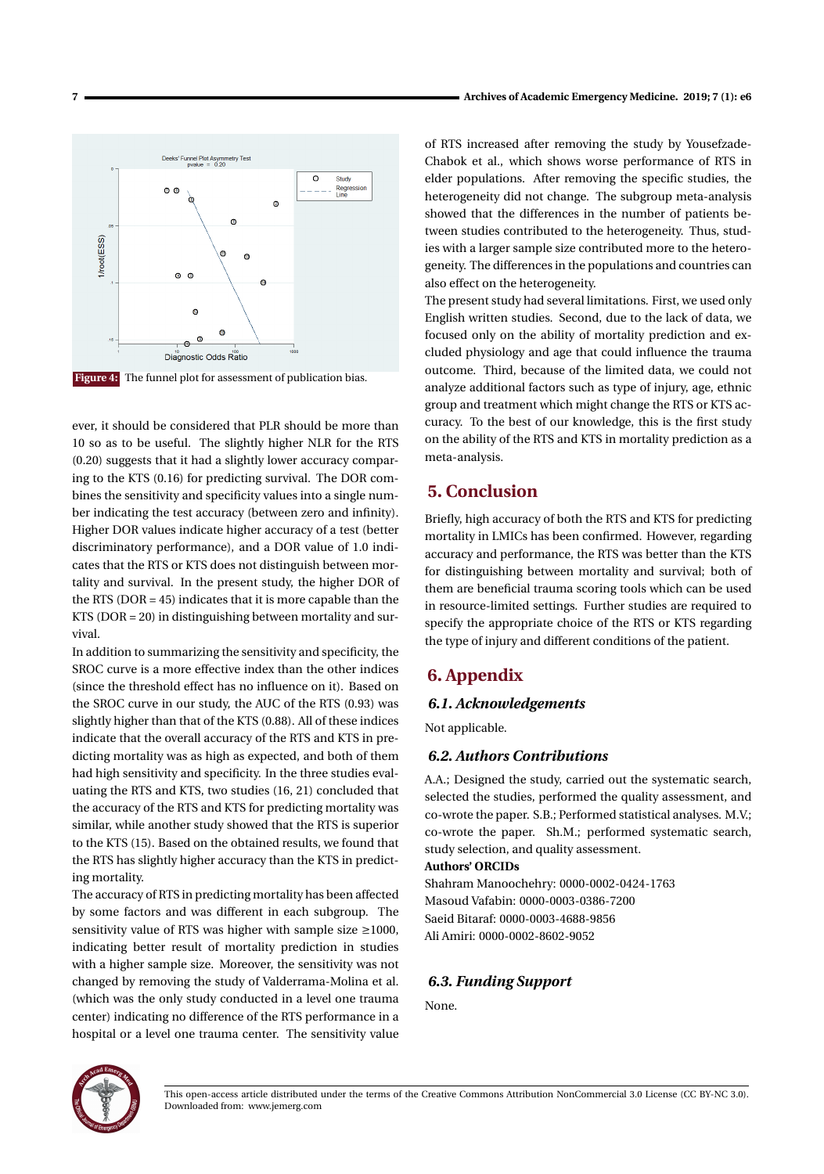

**Figure 4:** The funnel plot for assessment of publication bias.

ever, it should be considered that PLR should be more than 10 so as to be useful. The slightly higher NLR for the RTS (0.20) suggests that it had a slightly lower accuracy comparing to the KTS (0.16) for predicting survival. The DOR combines the sensitivity and specificity values into a single number indicating the test accuracy (between zero and infinity). Higher DOR values indicate higher accuracy of a test (better discriminatory performance), and a DOR value of 1.0 indicates that the RTS or KTS does not distinguish between mortality and survival. In the present study, the higher DOR of the RTS ( $DOR = 45$ ) indicates that it is more capable than the KTS (DOR = 20) in distinguishing between mortality and survival.

In addition to summarizing the sensitivity and specificity, the SROC curve is a more effective index than the other indices (since the threshold effect has no influence on it). Based on the SROC curve in our study, the AUC of the RTS (0.93) was slightly higher than that of the KTS (0.88). All of these indices indicate that the overall accuracy of the RTS and KTS in predicting mortality was as high as expected, and both of them had high sensitivity and specificity. In the three studies evaluating the RTS and KTS, two studies (16, 21) concluded that the accuracy of the RTS and KTS for predicting mortality was similar, while another study showed that the RTS is superior to the KTS (15). Based on the obtained results, we found that the RTS has slightly higher accuracy than the KTS in predicting mortality.

The accuracy of RTS in predicting mortality has been affected by some factors and was different in each subgroup. The sensitivity value of RTS was higher with sample size ≥1000, indicating better result of mortality prediction in studies with a higher sample size. Moreover, the sensitivity was not changed by removing the study of Valderrama-Molina et al. (which was the only study conducted in a level one trauma center) indicating no difference of the RTS performance in a hospital or a level one trauma center. The sensitivity value of RTS increased after removing the study by Yousefzade-Chabok et al., which shows worse performance of RTS in elder populations. After removing the specific studies, the heterogeneity did not change. The subgroup meta-analysis showed that the differences in the number of patients between studies contributed to the heterogeneity. Thus, studies with a larger sample size contributed more to the heterogeneity. The differences in the populations and countries can also effect on the heterogeneity.

The present study had several limitations. First, we used only English written studies. Second, due to the lack of data, we focused only on the ability of mortality prediction and excluded physiology and age that could influence the trauma outcome. Third, because of the limited data, we could not analyze additional factors such as type of injury, age, ethnic group and treatment which might change the RTS or KTS accuracy. To the best of our knowledge, this is the first study on the ability of the RTS and KTS in mortality prediction as a meta-analysis.

## **5. Conclusion**

Briefly, high accuracy of both the RTS and KTS for predicting mortality in LMICs has been confirmed. However, regarding accuracy and performance, the RTS was better than the KTS for distinguishing between mortality and survival; both of them are beneficial trauma scoring tools which can be used in resource-limited settings. Further studies are required to specify the appropriate choice of the RTS or KTS regarding the type of injury and different conditions of the patient.

## **6. Appendix**

#### *6.1. Acknowledgements*

Not applicable.

#### *6.2. Authors Contributions*

A.A.; Designed the study, carried out the systematic search, selected the studies, performed the quality assessment, and co-wrote the paper. S.B.; Performed statistical analyses. M.V.; co-wrote the paper. Sh.M.; performed systematic search, study selection, and quality assessment.

### **Authors' ORCIDs**

Shahram Manoochehry: 0000-0002-0424-1763 Masoud Vafabin: 0000-0003-0386-7200 Saeid Bitaraf: 0000-0003-4688-9856 Ali Amiri: 0000-0002-8602-9052

#### *6.3. Funding Support*

None.



This open-access article distributed under the terms of the Creative Commons Attribution NonCommercial 3.0 License (CC BY-NC 3.0). Downloaded from: www.jemerg.com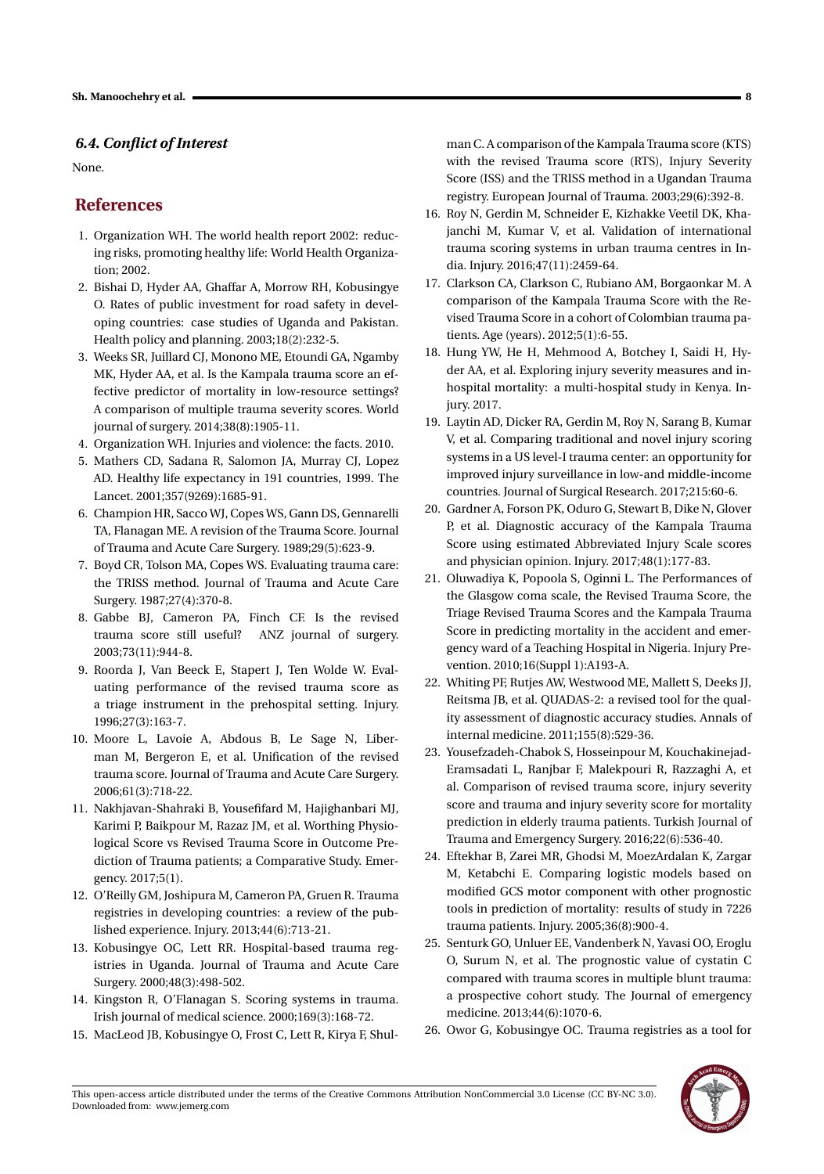## *6.4. Conflict of Interest*

None.

# **References**

- 1. Organization WH. The world health report 2002: reducing risks, promoting healthy life: World Health Organization; 2002.
- 2. Bishai D, Hyder AA, Ghaffar A, Morrow RH, Kobusingye O. Rates of public investment for road safety in developing countries: case studies of Uganda and Pakistan. Health policy and planning. 2003;18(2):232-5.
- 3. Weeks SR, Juillard CJ, Monono ME, Etoundi GA, Ngamby MK, Hyder AA, et al. Is the Kampala trauma score an effective predictor of mortality in low-resource settings? A comparison of multiple trauma severity scores. World journal of surgery. 2014;38(8):1905-11.
- 4. Organization WH. Injuries and violence: the facts. 2010.
- 5. Mathers CD, Sadana R, Salomon JA, Murray CJ, Lopez AD. Healthy life expectancy in 191 countries, 1999. The Lancet. 2001;357(9269):1685-91.
- 6. Champion HR, Sacco WJ, Copes WS, Gann DS, Gennarelli TA, Flanagan ME. A revision of the Trauma Score. Journal of Trauma and Acute Care Surgery. 1989;29(5):623-9.
- 7. Boyd CR, Tolson MA, Copes WS. Evaluating trauma care: the TRISS method. Journal of Trauma and Acute Care Surgery. 1987;27(4):370-8.
- 8. Gabbe BJ, Cameron PA, Finch CF. Is the revised trauma score still useful? ANZ journal of surgery. 2003;73(11):944-8.
- 9. Roorda J, Van Beeck E, Stapert J, Ten Wolde W. Evaluating performance of the revised trauma score as a triage instrument in the prehospital setting. Injury. 1996;27(3):163-7.
- 10. Moore L, Lavoie A, Abdous B, Le Sage N, Liberman M, Bergeron E, et al. Unification of the revised trauma score. Journal of Trauma and Acute Care Surgery. 2006;61(3):718-22.
- 11. Nakhjavan-Shahraki B, Yousefifard M, Hajighanbari MJ, Karimi P, Baikpour M, Razaz JM, et al. Worthing Physiological Score vs Revised Trauma Score in Outcome Prediction of Trauma patients; a Comparative Study. Emergency. 2017;5(1).
- 12. O'Reilly GM, Joshipura M, Cameron PA, Gruen R. Trauma registries in developing countries: a review of the published experience. Injury. 2013;44(6):713-21.
- 13. Kobusingye OC, Lett RR. Hospital-based trauma registries in Uganda. Journal of Trauma and Acute Care Surgery. 2000;48(3):498-502.
- 14. Kingston R, O'Flanagan S. Scoring systems in trauma. Irish journal of medical science. 2000;169(3):168-72.
- 15. MacLeod JB, Kobusingye O, Frost C, Lett R, Kirya F, Shul-

man C. A comparison of the Kampala Trauma score (KTS) with the revised Trauma score (RTS), Injury Severity Score (ISS) and the TRISS method in a Ugandan Trauma registry. European Journal of Trauma. 2003;29(6):392-8.

- 16. Roy N, Gerdin M, Schneider E, Kizhakke Veetil DK, Khajanchi M, Kumar V, et al. Validation of international trauma scoring systems in urban trauma centres in India. Injury. 2016;47(11):2459-64.
- 17. Clarkson CA, Clarkson C, Rubiano AM, Borgaonkar M. A comparison of the Kampala Trauma Score with the Revised Trauma Score in a cohort of Colombian trauma patients. Age (years). 2012;5(1):6-55.
- 18. Hung YW, He H, Mehmood A, Botchey I, Saidi H, Hyder AA, et al. Exploring injury severity measures and inhospital mortality: a multi-hospital study in Kenya. Injury. 2017.
- 19. Laytin AD, Dicker RA, Gerdin M, Roy N, Sarang B, Kumar V, et al. Comparing traditional and novel injury scoring systems in a US level-I trauma center: an opportunity for improved injury surveillance in low-and middle-income countries. Journal of Surgical Research. 2017;215:60-6.
- 20. Gardner A, Forson PK, Oduro G, Stewart B, Dike N, Glover P, et al. Diagnostic accuracy of the Kampala Trauma Score using estimated Abbreviated Injury Scale scores and physician opinion. Injury. 2017;48(1):177-83.
- 21. Oluwadiya K, Popoola S, Oginni L. The Performances of the Glasgow coma scale, the Revised Trauma Score, the Triage Revised Trauma Scores and the Kampala Trauma Score in predicting mortality in the accident and emergency ward of a Teaching Hospital in Nigeria. Injury Prevention. 2010;16(Suppl 1):A193-A.
- 22. Whiting PF, Rutjes AW, Westwood ME, Mallett S, Deeks JJ, Reitsma JB, et al. QUADAS-2: a revised tool for the quality assessment of diagnostic accuracy studies. Annals of internal medicine. 2011;155(8):529-36.
- 23. Yousefzadeh-Chabok S, Hosseinpour M, Kouchakinejad-Eramsadati L, Ranjbar F, Malekpouri R, Razzaghi A, et al. Comparison of revised trauma score, injury severity score and trauma and injury severity score for mortality prediction in elderly trauma patients. Turkish Journal of Trauma and Emergency Surgery. 2016;22(6):536-40.
- 24. Eftekhar B, Zarei MR, Ghodsi M, MoezArdalan K, Zargar M, Ketabchi E. Comparing logistic models based on modified GCS motor component with other prognostic tools in prediction of mortality: results of study in 7226 trauma patients. Injury. 2005;36(8):900-4.
- 25. Senturk GO, Unluer EE, Vandenberk N, Yavasi OO, Eroglu O, Surum N, et al. The prognostic value of cystatin C compared with trauma scores in multiple blunt trauma: a prospective cohort study. The Journal of emergency medicine. 2013;44(6):1070-6.
- 26. Owor G, Kobusingye OC. Trauma registries as a tool for